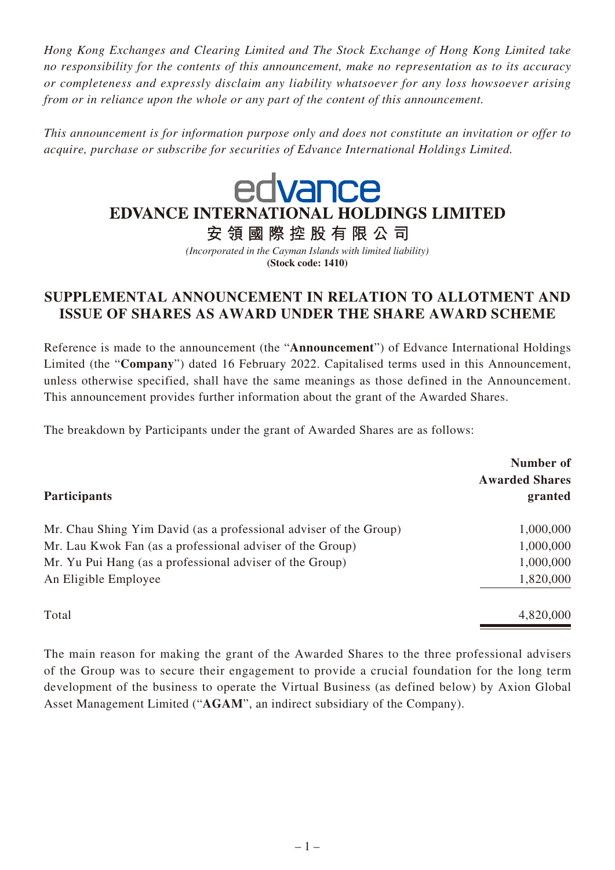*Hong Kong Exchanges and Clearing Limited and The Stock Exchange of Hong Kong Limited take no responsibility for the contents of this announcement, make no representation as to its accuracy or completeness and expressly disclaim any liability whatsoever for any loss howsoever arising from or in reliance upon the whole or any part of the content of this announcement.* 

*This announcement is for information purpose only and does not constitute an invitation or offer to acquire, purchase or subscribe for securities of Edvance International Holdings Limited.*

## edvance EDVANCE INTERNATIONAL HOLDINGS LIMITED

安領國際控股有限公司

*(Incorporated in the Cayman Islands with limited liability)* **(Stock code: 1410)**

## **SUPPLEMENTAL ANNOUNCEMENT IN RELATION TO ALLOTMENT AND ISSUE OF SHARES AS AWARD UNDER THE SHARE AWARD SCHEME**

Reference is made to the announcement (the "**Announcement**") of Edvance International Holdings Limited (the "**Company**") dated 16 February 2022. Capitalised terms used in this Announcement, unless otherwise specified, shall have the same meanings as those defined in the Announcement. This announcement provides further information about the grant of the Awarded Shares.

The breakdown by Participants under the grant of Awarded Shares are as follows:

| <b>Participants</b>                                       | Number of<br><b>Awarded Shares</b><br>granted |
|-----------------------------------------------------------|-----------------------------------------------|
|                                                           |                                               |
| Mr. Lau Kwok Fan (as a professional adviser of the Group) | 1,000,000                                     |
| Mr. Yu Pui Hang (as a professional adviser of the Group)  | 1,000,000                                     |
| An Eligible Employee                                      | 1,820,000                                     |
| Total                                                     | 4,820,000                                     |

The main reason for making the grant of the Awarded Shares to the three professional advisers of the Group was to secure their engagement to provide a crucial foundation for the long term development of the business to operate the Virtual Business (as defined below) by Axion Global Asset Management Limited ("**AGAM**", an indirect subsidiary of the Company).